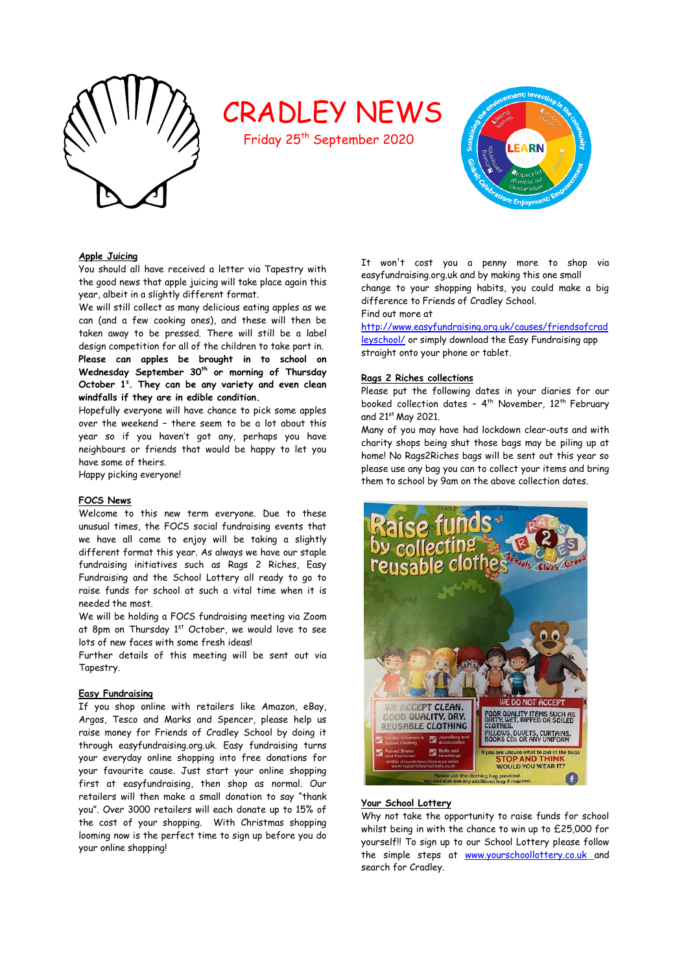

# CRADLEY NEWS

Friday 25<sup>th</sup> September 2020



#### **Apple Juicing**

You should all have received a letter via Tapestry with the good news that apple juicing will take place again this year, albeit in a slightly different format.

We will still collect as many delicious eating apples as we can (and a few cooking ones), and these will then be taken away to be pressed. There will still be a label design competition for all of the children to take part in. **Please can apples be brought in to school on Wednesday September 30th or morning of Thursday October 1<sup>s</sup> . They can be any variety and even clean windfalls if they are in edible condition.**

Hopefully everyone will have chance to pick some apples over the weekend – there seem to be a lot about this year so if you haven't got any, perhaps you have neighbours or friends that would be happy to let you have some of theirs.

Happy picking everyone!

#### **FOCS News**

Welcome to this new term everyone. Due to these unusual times, the FOCS social fundraising events that we have all come to enjoy will be taking a slightly different format this year. As always we have our staple fundraising initiatives such as Rags 2 Riches, Easy Fundraising and the School Lottery all ready to go to raise funds for school at such a vital time when it is needed the most.

We will be holding a FOCS fundraising meeting via Zoom at 8pm on Thursday 1<sup>st</sup> October, we would love to see lots of new faces with some fresh ideas!

Further details of this meeting will be sent out via Tapestry.

#### **Easy Fundraising**

If you shop online with retailers like Amazon, eBay, Argos, Tesco and Marks and Spencer, please help us raise money for Friends of Cradley School by doing it through easyfundraising.org.uk. Easy fundraising turns your everyday online shopping into free donations for your favourite cause. Just start your online shopping first at easyfundraising, then shop as normal. Our retailers will then make a small donation to say "thank you". Over 3000 retailers will each donate up to 15% of the cost of your shopping. With Christmas shopping looming now is the perfect time to sign up before you do your online shopping!

It won't cost you a penny more to shop via easyfundraising.org.uk and by making this one small change to your shopping habits, you could make a big difference to Friends of Cradley School.

Find out more at

[http://www.easyfundraising.org.uk/causes/friendsofcrad](http://www.easyfundraising.org.uk/causes/friendsofcradleyschool/) [leyschool/](http://www.easyfundraising.org.uk/causes/friendsofcradleyschool/) or simply download the Easy Fundraising app straight onto your phone or tablet.

#### **Rags 2 Riches collections**

Please put the following dates in your diaries for our booked collection dates - 4<sup>th</sup> November, 12<sup>th</sup> February and 21st May 2021.

Many of you may have had lockdown clear-outs and with charity shops being shut those bags may be piling up at home! No Rags2Riches bags will be sent out this year so please use any bag you can to collect your items and bring them to school by 9am on the above collection dates.



#### **Your School Lottery**

Why not take the opportunity to raise funds for school whilst being in with the chance to win up to £25,000 for yourself!! To sign up to our School Lottery please follow the simple steps at [www.yourschoollottery.co.uk](http://www.yourschoollottery.co.uk/) and search for Cradley.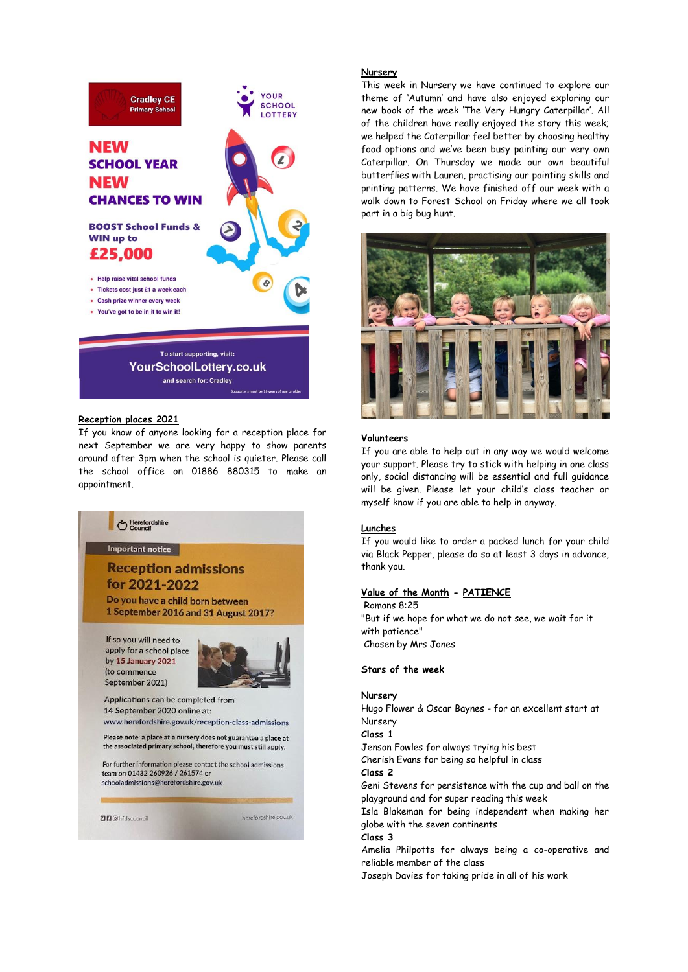

## **Reception places 2021**

If you know of anyone looking for a reception place for next September we are very happy to show parents around after 3pm when the school is quieter. Please call the school office on 01886 880315 to make an appointment.

and search for: Cradley



apply for a school place by 15 January 2021 (to commence September 2021)



Applications can be completed from 14 September 2020 online at: www.herefordshire.gov.uk/reception-class-admissions

Please note: a place at a nursery does not guarantee a place at<br>the associated primary school, therefore you must still apply.

For further information please contact the school admissions team on 01432 260926 / 261574 or schooladmissions@herefordshire.gov.uk

**DB** @ hfdscouncil

herefordshire.gov.uk

#### **Nursery**

This week in Nursery we have continued to explore our theme of 'Autumn' and have also enjoyed exploring our new book of the week 'The Very Hungry Caterpillar'. All of the children have really enjoyed the story this week; we helped the Caterpillar feel better by choosing healthy food options and we've been busy painting our very own Caterpillar. On Thursday we made our own beautiful butterflies with Lauren, practising our painting skills and printing patterns. We have finished off our week with a walk down to Forest School on Friday where we all took part in a big bug hunt.



#### **Volunteers**

If you are able to help out in any way we would welcome your support. Please try to stick with helping in one class only, social distancing will be essential and full guidance will be given. Please let your child's class teacher or myself know if you are able to help in anyway.

#### **Lunches**

If you would like to order a packed lunch for your child via Black Pepper, please do so at least 3 days in advance, thank you.

#### **Value of the Month - PATIENCE**

Romans 8:25 "But if we hope for what we do not see, we wait for it with patience" Chosen by Mrs Jones

#### **Stars of the week**

#### **Nursery**

Hugo Flower & Oscar Baynes - for an excellent start at Nursery

#### **Class 1**

Jenson Fowles for always trying his best

Cherish Evans for being so helpful in class

**Class 2**

Geni Stevens for persistence with the cup and ball on the playground and for super reading this week

Isla Blakeman for being independent when making her globe with the seven continents

#### **Class 3**

Amelia Philpotts for always being a co-operative and reliable member of the class

Joseph Davies for taking pride in all of his work